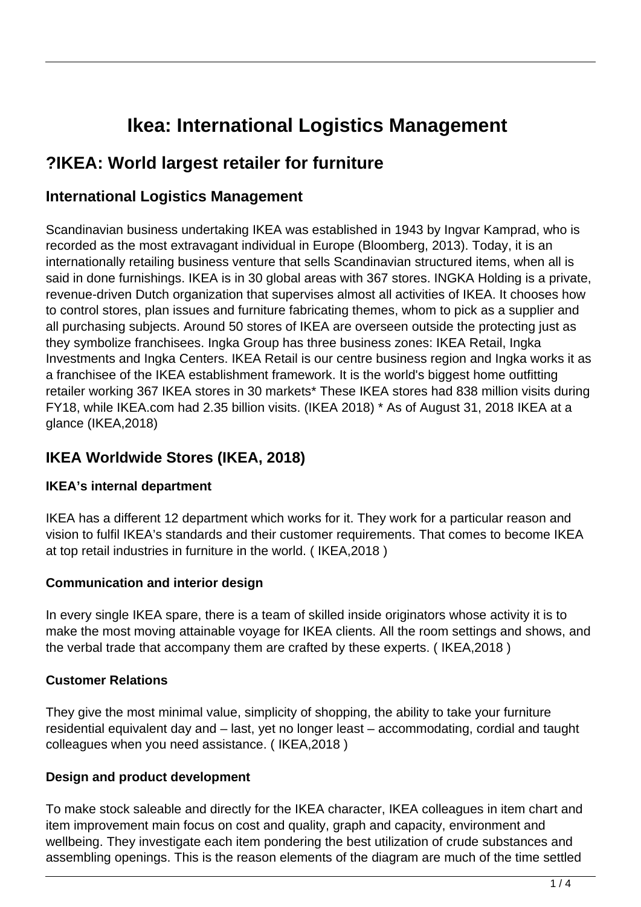# **Ikea: International Logistics Management**

# **?IKEA: World largest retailer for furniture**

### **International Logistics Management**

Scandinavian business undertaking IKEA was established in 1943 by Ingvar Kamprad, who is recorded as the most extravagant individual in Europe (Bloomberg, 2013). Today, it is an internationally retailing business venture that sells Scandinavian structured items, when all is said in done furnishings. IKEA is in 30 global areas with 367 stores. INGKA Holding is a private, revenue-driven Dutch organization that supervises almost all activities of IKEA. It chooses how to control stores, plan issues and furniture fabricating themes, whom to pick as a supplier and all purchasing subjects. Around 50 stores of IKEA are overseen outside the protecting just as they symbolize franchisees. Ingka Group has three business zones: IKEA Retail, Ingka Investments and Ingka Centers. IKEA Retail is our centre business region and Ingka works it as a franchisee of the IKEA establishment framework. It is the world's biggest home outfitting retailer working 367 IKEA stores in 30 markets\* These IKEA stores had 838 million visits during FY18, while IKEA.com had 2.35 billion visits. (IKEA 2018) \* As of August 31, 2018 IKEA at a glance (IKEA,2018)

### **IKEA Worldwide Stores (IKEA, 2018)**

### **IKEA's internal department**

IKEA has a different 12 department which works for it. They work for a particular reason and vision to fulfil IKEA's standards and their customer requirements. That comes to become IKEA at top retail industries in furniture in the world. ( IKEA,2018 )

### **Communication and interior design**

In every single IKEA spare, there is a team of skilled inside originators whose activity it is to make the most moving attainable voyage for IKEA clients. All the room settings and shows, and the verbal trade that accompany them are crafted by these experts. ( IKEA,2018 )

### **Customer Relations**

They give the most minimal value, simplicity of shopping, the ability to take your furniture residential equivalent day and – last, yet no longer least – accommodating, cordial and taught colleagues when you need assistance. ( IKEA,2018 )

### **Design and product development**

To make stock saleable and directly for the IKEA character, IKEA colleagues in item chart and item improvement main focus on cost and quality, graph and capacity, environment and wellbeing. They investigate each item pondering the best utilization of crude substances and assembling openings. This is the reason elements of the diagram are much of the time settled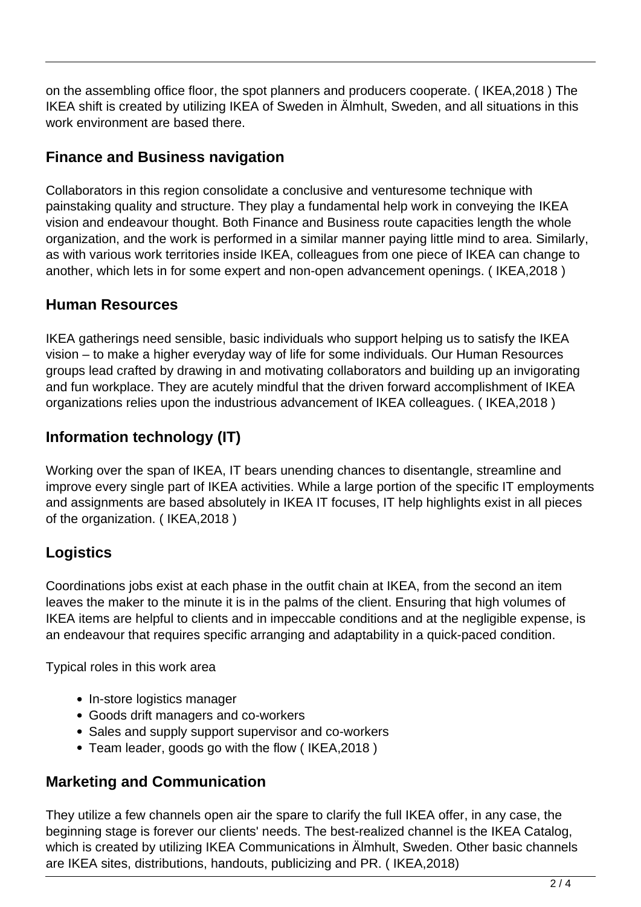on the assembling office floor, the spot planners and producers cooperate. ( IKEA,2018 ) The IKEA shift is created by utilizing IKEA of Sweden in Älmhult, Sweden, and all situations in this work environment are based there.

### **Finance and Business navigation**

Collaborators in this region consolidate a conclusive and venturesome technique with painstaking quality and structure. They play a fundamental help work in conveying the IKEA vision and endeavour thought. Both Finance and Business route capacities length the whole organization, and the work is performed in a similar manner paying little mind to area. Similarly, as with various work territories inside IKEA, colleagues from one piece of IKEA can change to another, which lets in for some expert and non-open advancement openings. ( IKEA,2018 )

### **Human Resources**

IKEA gatherings need sensible, basic individuals who support helping us to satisfy the IKEA vision – to make a higher everyday way of life for some individuals. Our Human Resources groups lead crafted by drawing in and motivating collaborators and building up an invigorating and fun workplace. They are acutely mindful that the driven forward accomplishment of IKEA organizations relies upon the industrious advancement of IKEA colleagues. ( IKEA,2018 )

## **Information technology (IT)**

Working over the span of IKEA, IT bears unending chances to disentangle, streamline and improve every single part of IKEA activities. While a large portion of the specific IT employments and assignments are based absolutely in IKEA IT focuses, IT help highlights exist in all pieces of the organization. ( IKEA,2018 )

### **Logistics**

Coordinations jobs exist at each phase in the outfit chain at IKEA, from the second an item leaves the maker to the minute it is in the palms of the client. Ensuring that high volumes of IKEA items are helpful to clients and in impeccable conditions and at the negligible expense, is an endeavour that requires specific arranging and adaptability in a quick-paced condition.

Typical roles in this work area

- In-store logistics manager
- Goods drift managers and co-workers
- Sales and supply support supervisor and co-workers
- Team leader, goods go with the flow ( IKEA,2018 )

### **Marketing and Communication**

They utilize a few channels open air the spare to clarify the full IKEA offer, in any case, the beginning stage is forever our clients' needs. The best-realized channel is the IKEA Catalog, which is created by utilizing IKEA Communications in Älmhult, Sweden. Other basic channels are IKEA sites, distributions, handouts, publicizing and PR. ( IKEA,2018)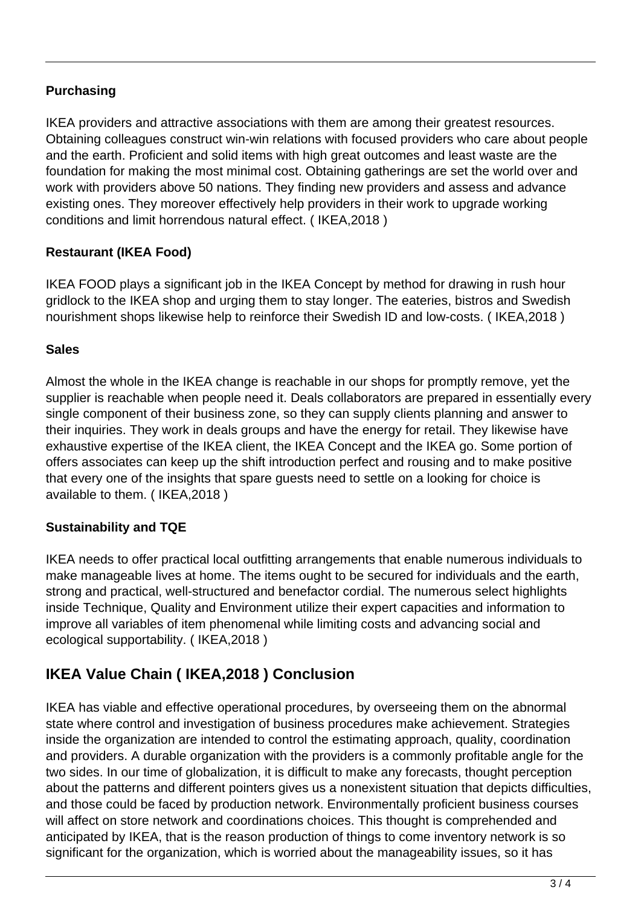### **Purchasing**

IKEA providers and attractive associations with them are among their greatest resources. Obtaining colleagues construct win-win relations with focused providers who care about people and the earth. Proficient and solid items with high great outcomes and least waste are the foundation for making the most minimal cost. Obtaining gatherings are set the world over and work with providers above 50 nations. They finding new providers and assess and advance existing ones. They moreover effectively help providers in their work to upgrade working conditions and limit horrendous natural effect. ( IKEA,2018 )

#### **Restaurant (IKEA Food)**

IKEA FOOD plays a significant job in the IKEA Concept by method for drawing in rush hour gridlock to the IKEA shop and urging them to stay longer. The eateries, bistros and Swedish nourishment shops likewise help to reinforce their Swedish ID and low-costs. ( IKEA,2018 )

#### **Sales**

Almost the whole in the IKEA change is reachable in our shops for promptly remove, yet the supplier is reachable when people need it. Deals collaborators are prepared in essentially every single component of their business zone, so they can supply clients planning and answer to their inquiries. They work in deals groups and have the energy for retail. They likewise have exhaustive expertise of the IKEA client, the IKEA Concept and the IKEA go. Some portion of offers associates can keep up the shift introduction perfect and rousing and to make positive that every one of the insights that spare guests need to settle on a looking for choice is available to them. ( IKEA,2018 )

#### **Sustainability and TQE**

IKEA needs to offer practical local outfitting arrangements that enable numerous individuals to make manageable lives at home. The items ought to be secured for individuals and the earth, strong and practical, well-structured and benefactor cordial. The numerous select highlights inside Technique, Quality and Environment utilize their expert capacities and information to improve all variables of item phenomenal while limiting costs and advancing social and ecological supportability. ( IKEA,2018 )

### **IKEA Value Chain ( IKEA,2018 ) Conclusion**

IKEA has viable and effective operational procedures, by overseeing them on the abnormal state where control and investigation of business procedures make achievement. Strategies inside the organization are intended to control the estimating approach, quality, coordination and providers. A durable organization with the providers is a commonly profitable angle for the two sides. In our time of globalization, it is difficult to make any forecasts, thought perception about the patterns and different pointers gives us a nonexistent situation that depicts difficulties, and those could be faced by production network. Environmentally proficient business courses will affect on store network and coordinations choices. This thought is comprehended and anticipated by IKEA, that is the reason production of things to come inventory network is so significant for the organization, which is worried about the manageability issues, so it has